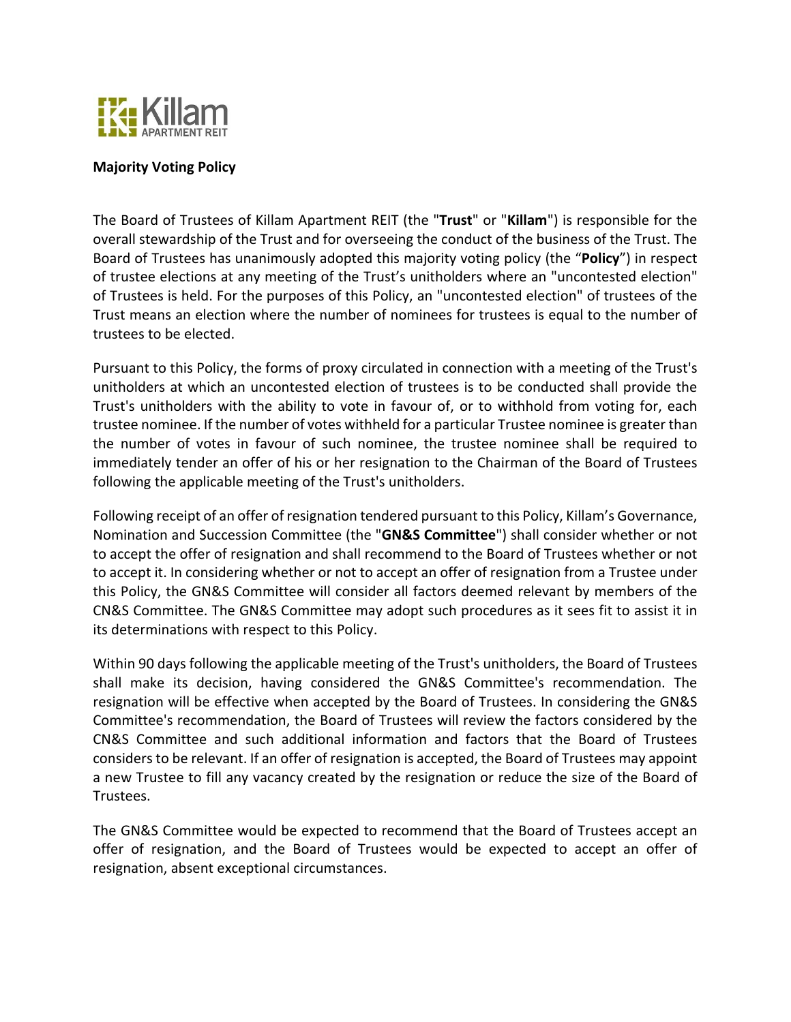

## **Majority Voting Policy**

The Board of Trustees of Killam Apartment REIT (the "**Trust**" or "**Killam**") is responsible for the overall stewardship of the Trust and for overseeing the conduct of the business of the Trust. The Board of Trustees has unanimously adopted this majority voting policy (the "**Policy**") in respect of trustee elections at any meeting of the Trust's unitholders where an "uncontested election" of Trustees is held. For the purposes of this Policy, an "uncontested election" of trustees of the Trust means an election where the number of nominees for trustees is equal to the number of trustees to be elected.

Pursuant to this Policy, the forms of proxy circulated in connection with a meeting of the Trust's unitholders at which an uncontested election of trustees is to be conducted shall provide the Trust's unitholders with the ability to vote in favour of, or to withhold from voting for, each trustee nominee. If the number of votes withheld for a particular Trustee nominee is greater than the number of votes in favour of such nominee, the trustee nominee shall be required to immediately tender an offer of his or her resignation to the Chairman of the Board of Trustees following the applicable meeting of the Trust's unitholders.

Following receipt of an offer of resignation tendered pursuant to this Policy, Killam's Governance, Nomination and Succession Committee (the "**GN&S Committee**") shall consider whether or not to accept the offer of resignation and shall recommend to the Board of Trustees whether or not to accept it. In considering whether or not to accept an offer of resignation from a Trustee under this Policy, the GN&S Committee will consider all factors deemed relevant by members of the CN&S Committee. The GN&S Committee may adopt such procedures as it sees fit to assist it in its determinations with respect to this Policy.

Within 90 days following the applicable meeting of the Trust's unitholders, the Board of Trustees shall make its decision, having considered the GN&S Committee's recommendation. The resignation will be effective when accepted by the Board of Trustees. In considering the GN&S Committee's recommendation, the Board of Trustees will review the factors considered by the CN&S Committee and such additional information and factors that the Board of Trustees considers to be relevant. If an offer of resignation is accepted, the Board of Trustees may appoint a new Trustee to fill any vacancy created by the resignation or reduce the size of the Board of Trustees.

The GN&S Committee would be expected to recommend that the Board of Trustees accept an offer of resignation, and the Board of Trustees would be expected to accept an offer of resignation, absent exceptional circumstances.